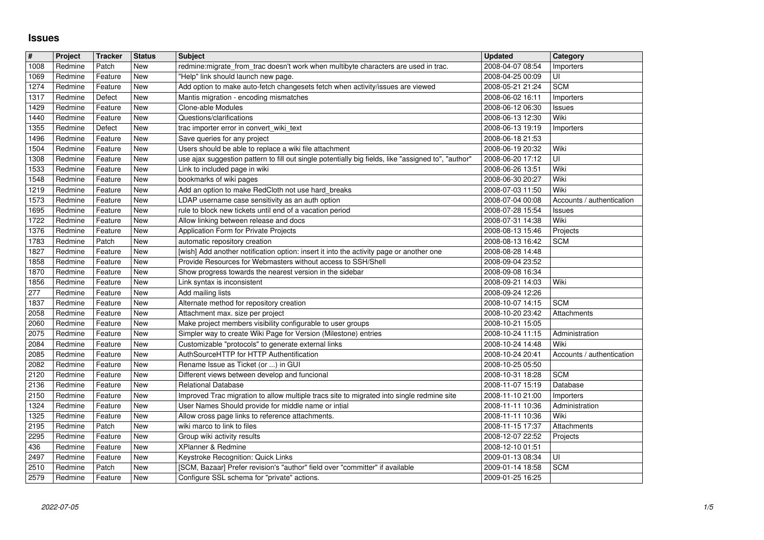## **Issues**

| $\vert$ #    | Project            | <b>Tracker</b>   | <b>Status</b> | <b>Subject</b>                                                                                                              | <b>Updated</b>                       | Category                  |
|--------------|--------------------|------------------|---------------|-----------------------------------------------------------------------------------------------------------------------------|--------------------------------------|---------------------------|
| 1008         | Redmine            | Patch            | New           | redmine:migrate_from_trac doesn't work when multibyte characters are used in trac.                                          | 2008-04-07 08:54                     | Importers                 |
| 1069         | Redmine            | Feature          | New           | "Help" link should launch new page.                                                                                         | 2008-04-25 00:09                     | UI                        |
| 1274         | Redmine            | Feature          | New           | Add option to make auto-fetch changesets fetch when activity/issues are viewed                                              | 2008-05-21 21:24                     | <b>SCM</b>                |
| 1317         | Redmine            | Defect           | New           | Mantis migration - encoding mismatches                                                                                      | 2008-06-02 16:11                     | Importers                 |
| 1429         | Redmine            | Feature          | New           | Clone-able Modules                                                                                                          | 2008-06-12 06:30                     | Issues                    |
| 1440         | Redmine            | Feature          | New           | Questions/clarifications                                                                                                    | 2008-06-13 12:30                     | Wiki                      |
| 1355         | Redmine            | Defect           | <b>New</b>    | trac importer error in convert_wiki_text                                                                                    | 2008-06-13 19:19                     | Importers                 |
| 1496         | Redmine            | Feature          | <b>New</b>    | Save queries for any project                                                                                                | 2008-06-18 21:53                     |                           |
| 1504         | Redmine            | Feature          | New           | Users should be able to replace a wiki file attachment                                                                      | 2008-06-19 20:32                     | Wiki                      |
| 1308         | Redmine            | Feature          | New           | use ajax suggestion pattern to fill out single potentially big fields, like "assigned to", "author"                         | 2008-06-20 17:12                     | UI                        |
| 1533         | Redmine            | Feature          | New           | Link to included page in wiki                                                                                               | 2008-06-26 13:51                     | Wiki                      |
| 1548         | Redmine            | Feature          | New           | bookmarks of wiki pages                                                                                                     | 2008-06-30 20:27                     | Wiki                      |
| 1219         | Redmine            | Feature          | New           | Add an option to make RedCloth not use hard_breaks                                                                          | 2008-07-03 11:50                     | Wiki                      |
| 1573         | Redmine            | Feature          | New           | LDAP username case sensitivity as an auth option                                                                            | 2008-07-04 00:08                     | Accounts / authentication |
| 1695         | Redmine            | Feature          | New           | rule to block new tickets until end of a vacation period                                                                    | 2008-07-28 15:54                     | Issues                    |
| 1722         | Redmine            | Feature          | New           | Allow linking between release and docs                                                                                      | 2008-07-31 14:38                     | Wiki                      |
| 1376         | Redmine            | Feature          | <b>New</b>    | Application Form for Private Projects                                                                                       | 2008-08-13 15:46                     | Projects                  |
| 1783         | Redmine            | Patch            | New           | automatic repository creation                                                                                               | 2008-08-13 16:42                     | <b>SCM</b>                |
| 1827         | Redmine            | Feature          | New           | [wish] Add another notification option: insert it into the activity page or another one                                     | 2008-08-28 14:48                     |                           |
| 1858         | Redmine            | Feature          | New           | Provide Resources for Webmasters without access to SSH/Shell                                                                | 2008-09-04 23:52                     |                           |
| 1870         | Redmine            | Feature          | New           | Show progress towards the nearest version in the sidebar                                                                    | 2008-09-08 16:34                     |                           |
| 1856         | Redmine            | Feature          | New           | Link syntax is inconsistent                                                                                                 | 2008-09-21 14:03                     | Wiki                      |
| 277          | Redmine            | Feature          | New           | Add mailing lists                                                                                                           | 2008-09-24 12:26                     |                           |
| 1837         | Redmine            | Feature          | New           | Alternate method for repository creation                                                                                    | 2008-10-07 14:15                     | <b>SCM</b>                |
| 2058         | Redmine            | Feature          | New           | Attachment max. size per project                                                                                            | 2008-10-20 23:42                     | Attachments               |
| 2060         | Redmine            | Feature          | <b>New</b>    | Make project members visibility configurable to user groups                                                                 | 2008-10-21 15:05                     |                           |
| 2075         | Redmine            | Feature          | New           | Simpler way to create Wiki Page for Version (Milestone) entries                                                             | 2008-10-24 11:15                     | Administration            |
| 2084         | Redmine            | Feature          | New           | Customizable "protocols" to generate external links                                                                         | 2008-10-24 14:48                     | Wiki                      |
| 2085         | Redmine            | Feature          | <b>New</b>    | AuthSourceHTTP for HTTP Authentification                                                                                    | 2008-10-24 20:41                     | Accounts / authentication |
| 2082         | Redmine            | Feature          | New           | Rename Issue as Ticket (or ) in GUI                                                                                         | 2008-10-25 05:50                     |                           |
| 2120         | Redmine            | Feature          | New           | Different views between develop and funcional                                                                               | 2008-10-31 18:28                     | <b>SCM</b>                |
| 2136         | Redmine            | Feature          | New           | <b>Relational Database</b>                                                                                                  | 2008-11-07 15:19                     | Database                  |
| 2150         | Redmine            | Feature          | New           | Improved Trac migration to allow multiple tracs site to migrated into single redmine site                                   | 2008-11-10 21:00                     | Importers                 |
| 1324         | Redmine            | Feature          | New           | User Names Should provide for middle name or intial                                                                         | 2008-11-11 10:36                     | Administration            |
| 1325         | Redmine            | Feature          | <b>New</b>    | Allow cross page links to reference attachments.                                                                            | 2008-11-11 10:36                     | Wiki                      |
| 2195         | Redmine            | Patch            | New           | wiki marco to link to files                                                                                                 | 2008-11-15 17:37                     | Attachments               |
| 2295         | Redmine            | Feature          | New           | Group wiki activity results                                                                                                 | 2008-12-07 22:52                     | Projects                  |
| 436          | Redmine            | Feature          | New           | XPlanner & Redmine                                                                                                          | 2008-12-10 01:51                     |                           |
| 2497         | Redmine            | Feature          | New           | Keystroke Recognition: Quick Links                                                                                          | 2009-01-13 08:34                     | U                         |
| 2510<br>2579 | Redmine<br>Redmine | Patch<br>Feature | New<br>New    | [SCM, Bazaar] Prefer revision's "author" field over "committer" if available<br>Configure SSL schema for "private" actions. | 2009-01-14 18:58<br>2009-01-25 16:25 | <b>SCM</b>                |
|              |                    |                  |               |                                                                                                                             |                                      |                           |
|              |                    |                  |               |                                                                                                                             |                                      |                           |
|              |                    |                  |               |                                                                                                                             |                                      |                           |
|              |                    |                  |               |                                                                                                                             |                                      |                           |
|              |                    |                  |               |                                                                                                                             |                                      |                           |
|              |                    |                  |               |                                                                                                                             |                                      |                           |
|              |                    |                  |               |                                                                                                                             |                                      |                           |
|              |                    |                  |               |                                                                                                                             |                                      |                           |
|              |                    |                  |               |                                                                                                                             |                                      |                           |
|              |                    |                  |               |                                                                                                                             |                                      |                           |
|              |                    |                  |               |                                                                                                                             |                                      |                           |
|              |                    |                  |               |                                                                                                                             |                                      |                           |
|              |                    |                  |               |                                                                                                                             |                                      |                           |
|              |                    |                  |               |                                                                                                                             |                                      |                           |
|              |                    |                  |               |                                                                                                                             |                                      |                           |
|              |                    |                  |               |                                                                                                                             |                                      |                           |
|              |                    |                  |               |                                                                                                                             |                                      |                           |
|              |                    |                  |               |                                                                                                                             |                                      |                           |
|              |                    |                  |               |                                                                                                                             |                                      |                           |
|              |                    |                  |               |                                                                                                                             |                                      |                           |
|              |                    |                  |               |                                                                                                                             |                                      |                           |
|              |                    |                  |               |                                                                                                                             |                                      |                           |
|              |                    |                  |               |                                                                                                                             |                                      |                           |
|              |                    |                  |               |                                                                                                                             |                                      |                           |
|              |                    |                  |               |                                                                                                                             |                                      |                           |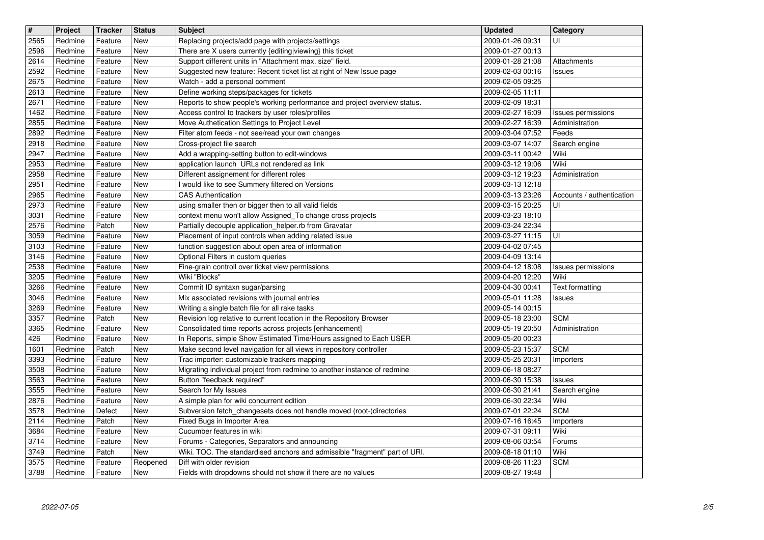| $\overline{\mathbf{t}}$ | Project            | <b>Tracker</b>     | <b>Status</b>     | <b>Subject</b>                                                                                                        | <b>Updated</b>                       | Category                        |
|-------------------------|--------------------|--------------------|-------------------|-----------------------------------------------------------------------------------------------------------------------|--------------------------------------|---------------------------------|
| 2565                    | Redmine            | Feature            | <b>New</b>        | Replacing projects/add page with projects/settings                                                                    | 2009-01-26 09:31                     | UI                              |
| 2596                    | Redmine            | Feature            | New               | There are X users currently {editing viewing} this ticket                                                             | 2009-01-27 00:13                     |                                 |
| 2614                    | Redmine            | Feature            | New               | Support different units in "Attachment max. size" field.                                                              | 2009-01-28 21:08                     | Attachments                     |
| 2592<br>2675            | Redmine<br>Redmine | Feature<br>Feature | New<br>New        | Suggested new feature: Recent ticket list at right of New Issue page<br>Watch - add a personal comment                | 2009-02-03 00:16<br>2009-02-05 09:25 | Issues                          |
| 2613                    | Redmine            | Feature            | New               | Define working steps/packages for tickets                                                                             | 2009-02-05 11:11                     |                                 |
| 2671                    | Redmine            | Feature            | New               | Reports to show people's working performance and project overview status.                                             | 2009-02-09 18:31                     |                                 |
| 1462                    | Redmine            | Feature            | New               | Access control to trackers by user roles/profiles                                                                     | 2009-02-27 16:09                     | Issues permissions              |
| 2855                    | Redmine            | Feature            | New               | Move Authetication Settings to Project Level                                                                          | 2009-02-27 16:39                     | Administration                  |
| 2892<br>2918            | Redmine<br>Redmine | Feature<br>Feature | New<br>New        | Filter atom feeds - not see/read your own changes<br>Cross-project file search                                        | 2009-03-04 07:52<br>2009-03-07 14:07 | Feeds<br>Search engine          |
| 2947                    | Redmine            | Feature            | New               | Add a wrapping-setting button to edit-windows                                                                         | 2009-03-11 00:42                     | Wiki                            |
| 2953                    | Redmine            | Feature            | New               | application launch URLs not rendered as link                                                                          | 2009-03-12 19:06                     | Wiki                            |
| 2958                    | Redmine            | Feature            | New               | Different assignement for different roles                                                                             | 2009-03-12 19:23                     | Administration                  |
| 2951                    | Redmine            | Feature            | New               | I would like to see Summery filtered on Versions                                                                      | 2009-03-13 12:18                     |                                 |
| 2965<br>2973            | Redmine<br>Redmine | Feature<br>Feature | New<br>New        | <b>CAS Authentication</b><br>using smaller then or bigger then to all valid fields                                    | 2009-03-13 23:26<br>2009-03-15 20:25 | Accounts / authentication<br>UI |
| 3031                    | Redmine            | Feature            | New               | context menu won't allow Assigned_To change cross projects                                                            | 2009-03-23 18:10                     |                                 |
| 2576                    | Redmine            | Patch              | New               | Partially decouple application_helper.rb from Gravatar                                                                | 2009-03-24 22:34                     |                                 |
| 3059                    | Redmine            | Feature            | New               | Placement of input controls when adding related issue                                                                 | 2009-03-27 11:15                     | UI                              |
| 3103                    | Redmine            | Feature            | New               | function suggestion about open area of information                                                                    | 2009-04-02 07:45                     |                                 |
| 3146<br>2538            | Redmine<br>Redmine | Feature<br>Feature | New<br>New        | Optional Filters in custom queries<br>Fine-grain controll over ticket view permissions                                | 2009-04-09 13:14<br>2009-04-12 18:08 | <b>Issues permissions</b>       |
| 3205                    | Redmine            | Feature            | New               | Wiki "Blocks"                                                                                                         | 2009-04-20 12:20                     | Wiki                            |
| 3266                    | Redmine            | Feature            | New               | Commit ID syntaxn sugar/parsing                                                                                       | 2009-04-30 00:41                     | <b>Text formatting</b>          |
| 3046                    | Redmine            | Feature            | New               | Mix associated revisions with journal entries                                                                         | 2009-05-01 11:28                     | Issues                          |
| 3269<br>3357            | Redmine<br>Redmine | Feature<br>Patch   | New<br>New        | Writing a single batch file for all rake tasks<br>Revision log relative to current location in the Repository Browser | 2009-05-14 00:15<br>2009-05-18 23:00 | <b>SCM</b>                      |
| 3365                    | Redmine            | Feature            | New               | Consolidated time reports across projects [enhancement]                                                               | 2009-05-19 20:50                     | Administration                  |
| 426                     | Redmine            | Feature            | New               | In Reports, simple Show Estimated Time/Hours assigned to Each USER                                                    | 2009-05-20 00:23                     |                                 |
| 1601                    | Redmine            | Patch              | New               | Make second level navigation for all views in repository controller                                                   | 2009-05-23 15:37                     | <b>SCM</b>                      |
| 3393                    | Redmine            | Feature            | New               | Trac importer: customizable trackers mapping                                                                          | 2009-05-25 20:31                     | Importers                       |
| 3508<br>3563            | Redmine<br>Redmine | Feature<br>Feature | New<br>New        | Migrating individual project from redmine to another instance of redmine<br>Button "feedback required"                | 2009-06-18 08:27                     |                                 |
| 3555                    | Redmine            | Feature            | New               | Search for My Issues                                                                                                  | 2009-06-30 15:38<br>2009-06-30 21:41 | Issues<br>Search engine         |
| 2876                    | Redmine            | Feature            | New               | A simple plan for wiki concurrent edition                                                                             | 2009-06-30 22:34                     | Wiki                            |
| 3578                    | Redmine            | Defect             | New               | Subversion fetch_changesets does not handle moved (root-)directories                                                  | 2009-07-01 22:24                     | <b>SCM</b>                      |
| 2114<br>3684            | Redmine            | Patch              | New               | Fixed Bugs in Importer Area                                                                                           | 2009-07-16 16:45                     | Importers                       |
| 3714                    | Redmine<br>Redmine | Feature<br>Feature | <b>New</b><br>New | Cucumber features in wiki<br>Forums - Categories, Separators and announcing                                           | 2009-07-31 09:11<br>2009-08-06 03:54 | Wiki<br>Forums                  |
| 3749                    | Redmine            | Patch              | New               | Wiki. TOC. The standardised anchors and admissible "fragment" part of URI.                                            | 2009-08-18 01:10                     | Wiki                            |
| 3575                    | Redmine            | Feature            | Reopened          | Diff with older revision                                                                                              | 2009-08-26 11:23                     | <b>SCM</b>                      |
|                         |                    |                    |                   |                                                                                                                       |                                      |                                 |
|                         |                    |                    |                   |                                                                                                                       |                                      |                                 |
|                         |                    |                    |                   |                                                                                                                       |                                      |                                 |
|                         |                    |                    |                   |                                                                                                                       |                                      |                                 |
|                         |                    |                    |                   |                                                                                                                       |                                      |                                 |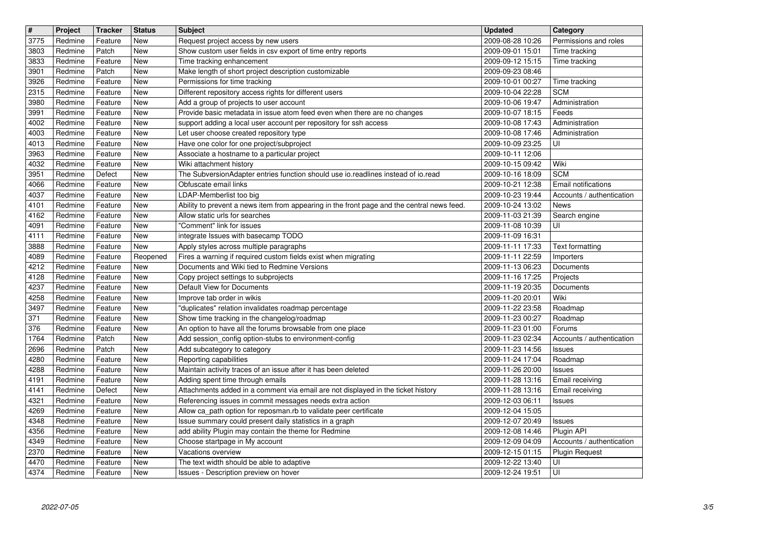| $\overline{\mathbf{H}}$ | Project            | <b>Tracker</b>     | <b>Status</b>                    | <b>Subject</b>                                                                                                                                | <b>Updated</b>                       | Category                                         |
|-------------------------|--------------------|--------------------|----------------------------------|-----------------------------------------------------------------------------------------------------------------------------------------------|--------------------------------------|--------------------------------------------------|
| 3775<br>3803            | Redmine<br>Redmine | Feature<br>Patch   | <b>New</b><br><b>New</b>         | Request project access by new users<br>Show custom user fields in csv export of time entry reports                                            | 2009-08-28 10:26<br>2009-09-01 15:01 | Permissions and roles<br>Time tracking           |
| 3833                    | Redmine            | Feature            | New                              | Time tracking enhancement                                                                                                                     | 2009-09-12 15:15                     | Time tracking                                    |
| 3901<br>3926            | Redmine<br>Redmine | Patch              | New<br>New                       | Make length of short project description customizable<br>Permissions for time tracking                                                        | 2009-09-23 08:46<br>2009-10-01 00:27 |                                                  |
| 2315                    | Redmine            | Feature<br>Feature | New                              | Different repository access rights for different users                                                                                        | 2009-10-04 22:28                     | Time tracking<br><b>SCM</b>                      |
| 3980                    | Redmine            | Feature            | New                              | Add a group of projects to user account                                                                                                       | 2009-10-06 19:47                     | Administration                                   |
| 3991<br>4002            | Redmine<br>Redmine | Feature<br>Feature | New<br>New                       | Provide basic metadata in issue atom feed even when there are no changes<br>support adding a local user account per repository for ssh access | 2009-10-07 18:15<br>2009-10-08 17:43 | Feeds<br>Administration                          |
| 4003                    | Redmine            | Feature            | <b>New</b>                       | Let user choose created repository type                                                                                                       | 2009-10-08 17:46                     | Administration                                   |
| 4013                    | Redmine            | Feature            | New                              | Have one color for one project/subproject<br>Associate a hostname to a particular project                                                     | 2009-10-09 23:25<br>2009-10-11 12:06 | UI                                               |
| 3963<br>4032            | Redmine<br>Redmine | Feature<br>Feature | New<br>New                       | Wiki attachment history                                                                                                                       | 2009-10-15 09:42                     | Wiki                                             |
| 3951                    | Redmine            | Defect             | New                              | The SubversionAdapter entries function should use io.readlines instead of io.read                                                             | 2009-10-16 18:09                     | <b>SCM</b>                                       |
| 4066<br>4037            | Redmine<br>Redmine | Feature<br>Feature | New<br>New                       | Obfuscate email links<br>LDAP-Memberlist too big                                                                                              | 2009-10-21 12:38<br>2009-10-23 19:44 | Email notifications<br>Accounts / authentication |
| 4101                    | Redmine            | Feature            | New                              | Ability to prevent a news item from appearing in the front page and the central news feed.                                                    | 2009-10-24 13:02                     | News                                             |
| 4162<br>4091            | Redmine<br>Redmine | Feature<br>Feature | New<br><b>New</b>                | Allow static urls for searches<br>"Comment" link for issues                                                                                   | 2009-11-03 21:39<br>2009-11-08 10:39 | Search engine<br>UI                              |
| 4111                    | Redmine            | Feature            | New                              | integrate Issues with basecamp TODO                                                                                                           | 2009-11-09 16:31                     |                                                  |
| 3888                    | Redmine            | Feature            | <b>New</b>                       | Apply styles across multiple paragraphs                                                                                                       | 2009-11-11 17:33                     | <b>Text formatting</b>                           |
| 4089<br>4212            | Redmine<br>Redmine | Feature<br>Feature | Reopened<br>New                  | Fires a warning if required custom fields exist when migrating<br>Documents and Wiki tied to Redmine Versions                                 | 2009-11-11 22:59<br>2009-11-13 06:23 | Importers<br>Documents                           |
| 4128                    | Redmine            | Feature            | New                              | Copy project settings to subprojects                                                                                                          | 2009-11-16 17:25                     | Projects                                         |
| 4237<br>4258            | Redmine<br>Redmine | Feature<br>Feature | New<br>New                       | Default View for Documents<br>Improve tab order in wikis                                                                                      | 2009-11-19 20:35<br>2009-11-20 20:01 | Documents<br>Wiki                                |
| 3497                    | Redmine            | Feature            | New                              | "duplicates" relation invalidates roadmap percentage                                                                                          | 2009-11-22 23:58                     | Roadmap                                          |
| 371<br>376              | Redmine            | Feature<br>Feature | New<br>New                       | Show time tracking in the changelog/roadmap                                                                                                   | 2009-11-23 00:27                     | Roadmap                                          |
| 1764                    | Redmine<br>Redmine | Patch              | New                              | An option to have all the forums browsable from one place<br>Add session_config option-stubs to environment-config                            | 2009-11-23 01:00<br>2009-11-23 02:34 | Forums<br>Accounts / authentication              |
| 2696                    | Redmine            | Patch              | New                              | Add subcategory to category                                                                                                                   | 2009-11-23 14:56                     | Issues                                           |
| 4280<br>4288            | Redmine<br>Redmine | Feature<br>Feature | New<br>New                       | Reporting capabilities<br>Maintain activity traces of an issue after it has been deleted                                                      | 2009-11-24 17:04<br>2009-11-26 20:00 | Roadmap<br>Issues                                |
| 4191                    | Redmine            | Feature            | New                              | Adding spent time through emails                                                                                                              | 2009-11-28 13:16                     | Email receiving                                  |
| 4141                    | Redmine            | Defect             | New                              | Attachments added in a comment via email are not displayed in the ticket history                                                              | 2009-11-28 13:16<br>2009-12-03 06:11 | Email receiving                                  |
| 4321<br>4269            | Redmine<br>Redmine | Feature<br>Feature | New<br><b>New</b>                | Referencing issues in commit messages needs extra action<br>Allow ca_path option for reposman.rb to validate peer certificate                 | 2009-12-04 15:05                     | Issues                                           |
| 4348                    | Redmine            | Feature            | New                              | Issue summary could present daily statistics in a graph                                                                                       | 2009-12-07 20:49                     | <b>Issues</b>                                    |
| 4356<br>4349            | Redmine<br>Redmine | Feature<br>Feature | $\overline{\mathsf{New}}$<br>New | add ability Plugin may contain the theme for Redmine<br>Choose startpage in My account                                                        | 2009-12-08 14:46<br>2009-12-09 04:09 | Plugin API<br>Accounts / authentication          |
| 2370                    | Redmine            | Feature            | New                              | Vacations overview                                                                                                                            | 2009-12-15 01:15                     | Plugin Request                                   |
| 4470<br>4374            | Redmine<br>Redmine | Feature<br>Feature | New<br>New                       | The text width should be able to adaptive<br>Issues - Description preview on hover                                                            | 2009-12-22 13:40<br>2009-12-24 19:51 | UI<br>UI                                         |
|                         |                    |                    |                                  |                                                                                                                                               |                                      |                                                  |
|                         |                    |                    |                                  |                                                                                                                                               |                                      |                                                  |
|                         |                    |                    |                                  |                                                                                                                                               |                                      |                                                  |
|                         |                    |                    |                                  |                                                                                                                                               |                                      |                                                  |
|                         |                    |                    |                                  |                                                                                                                                               |                                      |                                                  |
|                         |                    |                    |                                  |                                                                                                                                               |                                      |                                                  |
|                         |                    |                    |                                  |                                                                                                                                               |                                      |                                                  |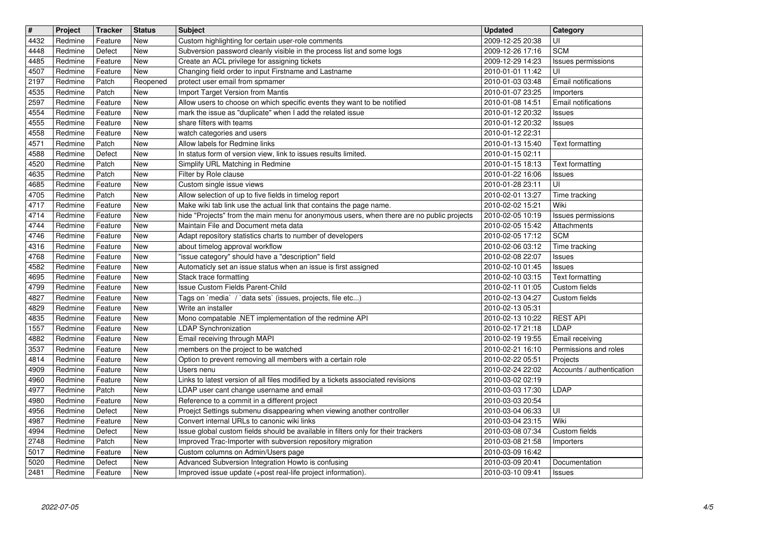| $\overline{\mathbf{H}}$ | Project            | <b>Tracker</b>     | <b>Status</b>            | <b>Subject</b>                                                                                                                   | <b>Updated</b>                       | Category                         |
|-------------------------|--------------------|--------------------|--------------------------|----------------------------------------------------------------------------------------------------------------------------------|--------------------------------------|----------------------------------|
| 4432<br>4448            | Redmine<br>Redmine | Feature<br>Defect  | <b>New</b><br><b>New</b> | Custom highlighting for certain user-role comments<br>Subversion password cleanly visible in the process list and some logs      | 2009-12-25 20:38<br>2009-12-26 17:16 | UI<br><b>SCM</b>                 |
| 4485                    | Redmine            | Feature            | <b>New</b>               | Create an ACL privilege for assigning tickets                                                                                    | 2009-12-29 14:23                     | Issues permissions               |
| 4507                    | Redmine            | Feature            | <b>New</b>               | Changing field order to input Firstname and Lastname                                                                             | 2010-01-01 11:42                     | UI                               |
| 2197                    | Redmine            | Patch              | Reopened                 | protect user email from spmamer                                                                                                  | 2010-01-03 03:48                     | Email notifications              |
| 4535<br>2597            | Redmine<br>Redmine | Patch<br>Feature   | <b>New</b><br><b>New</b> | Import Target Version from Mantis<br>Allow users to choose on which specific events they want to be notified                     | 2010-01-07 23:25<br>2010-01-08 14:51 | Importers<br>Email notifications |
| 4554                    | Redmine            | Feature            | New                      | mark the issue as "duplicate" when I add the related issue                                                                       | 2010-01-12 20:32                     | <b>Issues</b>                    |
| 4555                    | Redmine            | Feature            | <b>New</b>               | share filters with teams                                                                                                         | 2010-01-12 20:32                     | Issues                           |
| 4558                    | Redmine            | Feature            | <b>New</b>               | watch categories and users                                                                                                       | 2010-01-12 22:31                     |                                  |
| 4571<br>4588            | Redmine<br>Redmine | Patch<br>Defect    | New<br><b>New</b>        | Allow labels for Redmine links<br>In status form of version view, link to issues results limited.                                | 2010-01-13 15:40<br>2010-01-15 02:11 | Text formatting                  |
| 4520                    | Redmine            | Patch              | New                      | Simplify URL Matching in Redmine                                                                                                 | 2010-01-15 18:13                     | <b>Text formatting</b>           |
| 4635                    | Redmine            | Patch              | <b>New</b>               | Filter by Role clause                                                                                                            | 2010-01-22 16:06                     | Issues                           |
| 4685<br>4705            | Redmine<br>Redmine | Feature<br>Patch   | New<br><b>New</b>        | Custom single issue views<br>Allow selection of up to five fields in timelog report                                              | 2010-01-28 23:11<br>2010-02-01 13:27 | UI                               |
| 4717                    | Redmine            | Feature            | New                      | Make wiki tab link use the actual link that contains the page name.                                                              | 2010-02-02 15:21                     | Time tracking<br>Wiki            |
| 4714                    | Redmine            | Feature            | New                      | hide "Projects" from the main menu for anonymous users, when there are no public projects                                        | 2010-02-05 10:19                     | Issues permissions               |
| 4744                    | Redmine            | Feature            | New                      | Maintain File and Document meta data                                                                                             | 2010-02-05 15:42                     | Attachments                      |
| 4746<br>4316            | Redmine<br>Redmine | Feature<br>Feature | <b>New</b><br>New        | Adapt repository statistics charts to number of developers<br>about timelog approval workflow                                    | 2010-02-05 17:12<br>2010-02-06 03:12 | <b>SCM</b><br>Time tracking      |
| 4768                    | Redmine            | Feature            | New                      | 'issue category" should have a "description" field                                                                               | 2010-02-08 22:07                     | Issues                           |
| 4582                    | Redmine            | Feature            | New                      | Automaticly set an issue status when an issue is first assigned                                                                  | 2010-02-10 01:45                     | Issues                           |
| 4695<br>4799            | Redmine<br>Redmine | Feature<br>Feature | New<br>New               | Stack trace formatting<br>Issue Custom Fields Parent-Child                                                                       | 2010-02-10 03:15<br>2010-02-11 01:05 | Text formatting<br>Custom fields |
| 4827                    | Redmine            | Feature            | <b>New</b>               | Tags on `media` / `data sets` (issues, projects, file etc)                                                                       | 2010-02-13 04:27                     | Custom fields                    |
| 4829                    | Redmine            | Feature            | <b>New</b>               | Write an installer                                                                                                               | 2010-02-13 05:31                     |                                  |
| 4835                    | Redmine            | Feature            | <b>New</b>               | Mono compatable .NET implementation of the redmine API                                                                           | 2010-02-13 10:22                     | <b>REST API</b>                  |
| 1557<br>4882            | Redmine<br>Redmine | Feature<br>Feature | <b>New</b><br><b>New</b> | <b>LDAP Synchronization</b><br>Email receiving through MAPI                                                                      | 2010-02-17 21:18<br>2010-02-19 19:55 | LDAP<br>Email receiving          |
| 3537                    | Redmine            | Feature            | New                      | members on the project to be watched                                                                                             | 2010-02-21 16:10                     | Permissions and roles            |
| 4814                    | Redmine            | Feature            | <b>New</b>               | Option to prevent removing all members with a certain role                                                                       | 2010-02-22 05:51                     | Projects                         |
| 4909                    | Redmine<br>Redmine | Feature<br>Feature | <b>New</b><br><b>New</b> | Users nenu<br>Links to latest version of all files modified by a tickets associated revisions                                    | 2010-02-24 22:02<br>2010-03-02 02:19 | Accounts / authentication        |
| 4960<br>4977            | Redmine            | Patch              | <b>New</b>               | LDAP user cant change username and email                                                                                         | 2010-03-03 17:30                     | LDAP                             |
| 4980                    | Redmine            | Feature            | <b>New</b>               | Reference to a commit in a different project                                                                                     | 2010-03-03 20:54                     |                                  |
| 4956                    | Redmine            | Defect             | New                      | Proejct Settings submenu disappearing when viewing another controller                                                            | 2010-03-04 06:33                     | UI                               |
| 4987<br>4994            | Redmine<br>Redmine | Feature<br>Defect  | <b>New</b><br>New        | Convert internal URLs to canonic wiki links<br>Issue global custom fields should be available in filters only for their trackers | 2010-03-04 23:15<br>2010-03-08 07:34 | Wiki<br>Custom fields            |
| 2748                    | Redmine            | Patch              | New                      | Improved Trac-Importer with subversion repository migration                                                                      | 2010-03-08 21:58                     | Importers                        |
| 5017                    | Redmine            | Feature            | New                      | Custom columns on Admin/Users page                                                                                               | 2010-03-09 16:42                     |                                  |
| 5020<br>2481            | Redmine<br>Redmine | Defect<br>Feature  | New<br>New               | Advanced Subversion Integration Howto is confusing<br>Improved issue update (+post real-life project information).               | 2010-03-09 20:41<br>2010-03-10 09:41 | Documentation<br><b>Issues</b>   |
|                         |                    |                    |                          |                                                                                                                                  |                                      |                                  |
|                         |                    |                    |                          |                                                                                                                                  |                                      |                                  |
|                         |                    |                    |                          |                                                                                                                                  |                                      |                                  |
|                         |                    |                    |                          |                                                                                                                                  |                                      |                                  |
|                         |                    |                    |                          |                                                                                                                                  |                                      |                                  |
|                         |                    |                    |                          |                                                                                                                                  |                                      |                                  |
|                         |                    |                    |                          |                                                                                                                                  |                                      |                                  |
|                         |                    |                    |                          |                                                                                                                                  |                                      |                                  |
|                         |                    |                    |                          |                                                                                                                                  |                                      |                                  |
|                         |                    |                    |                          |                                                                                                                                  |                                      |                                  |
|                         |                    |                    |                          |                                                                                                                                  |                                      |                                  |